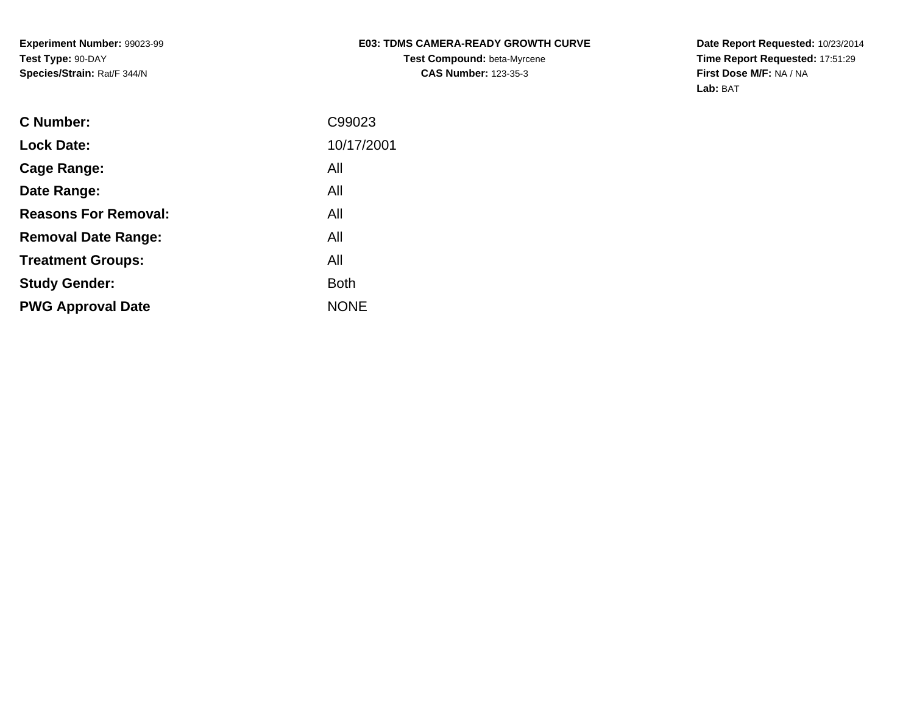## **E03: TDMS CAMERA-READY GROWTH CURVETest Compound:** beta-Myrcene**CAS Number:** 123-35-3

**Date Report Requested:** 10/23/2014 **Time Report Requested:** 17:51:29**First Dose M/F:** NA / NA**Lab:** BAT

| C Number:                   | C99023      |
|-----------------------------|-------------|
| <b>Lock Date:</b>           | 10/17/2001  |
| Cage Range:                 | All         |
| Date Range:                 | All         |
| <b>Reasons For Removal:</b> | All         |
| <b>Removal Date Range:</b>  | All         |
| <b>Treatment Groups:</b>    | All         |
| <b>Study Gender:</b>        | <b>Both</b> |
| <b>PWG Approval Date</b>    | <b>NONE</b> |
|                             |             |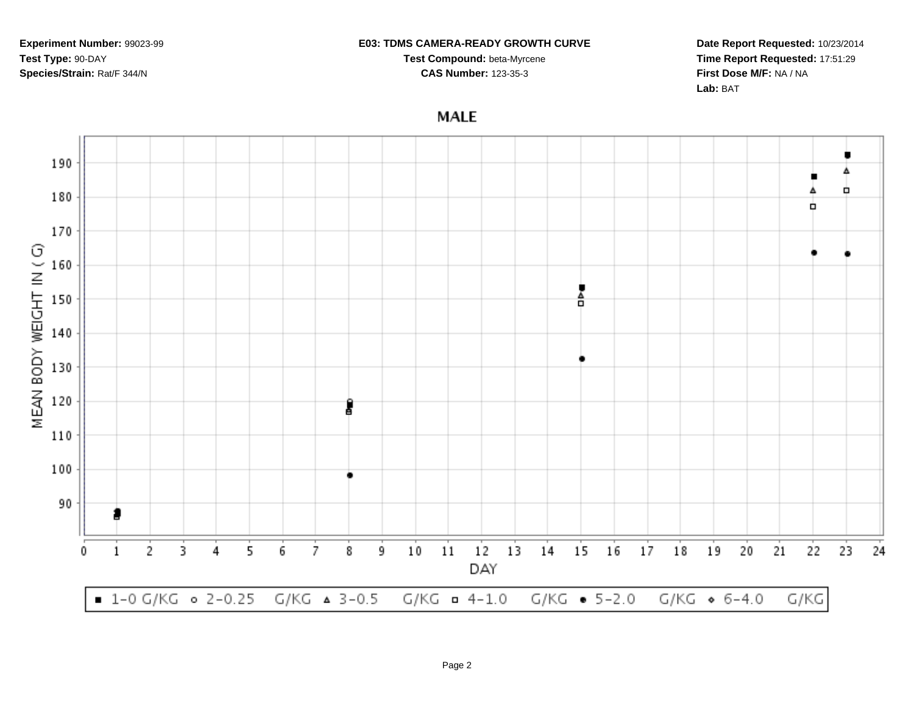#### **E03: TDMS CAMERA-READY GROWTH CURVE**

**Test Compound:** beta-Myrcene**CAS Number:** 123-35-3

**Date Report Requested:** 10/23/2014**Time Report Requested:** 17:51:29**First Dose M/F:** NA / NA**Lab:** BAT

**MALE** 

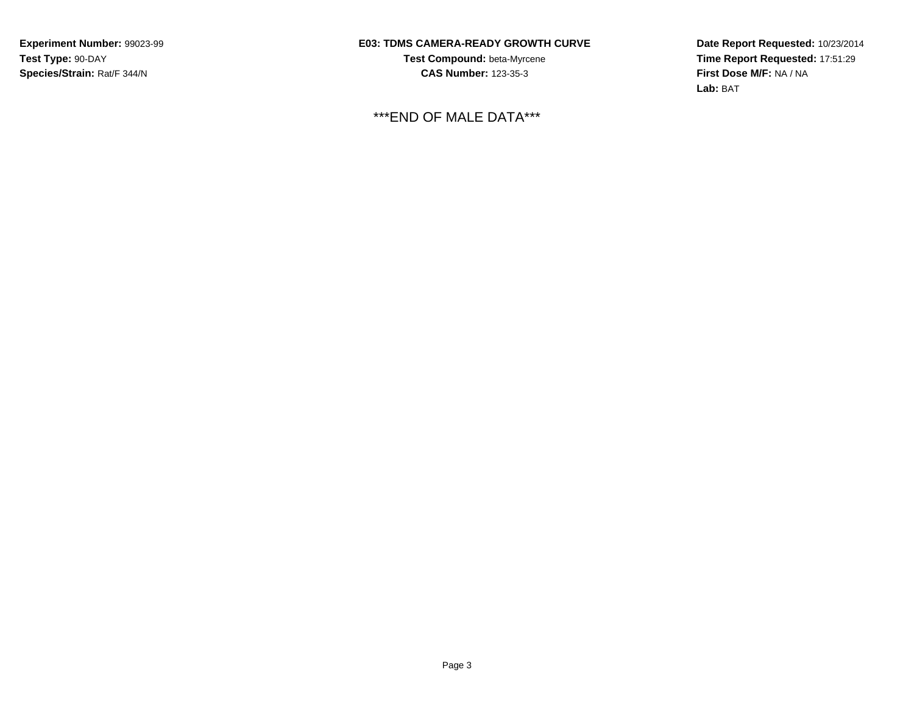## **E03: TDMS CAMERA-READY GROWTH CURVE**

**Test Compound:** beta-Myrcene**CAS Number:** 123-35-3

\*\*\*END OF MALE DATA\*\*\*

**Date Report Requested:** 10/23/2014 **Time Report Requested:** 17:51:29**First Dose M/F:** NA / NA**Lab:** BAT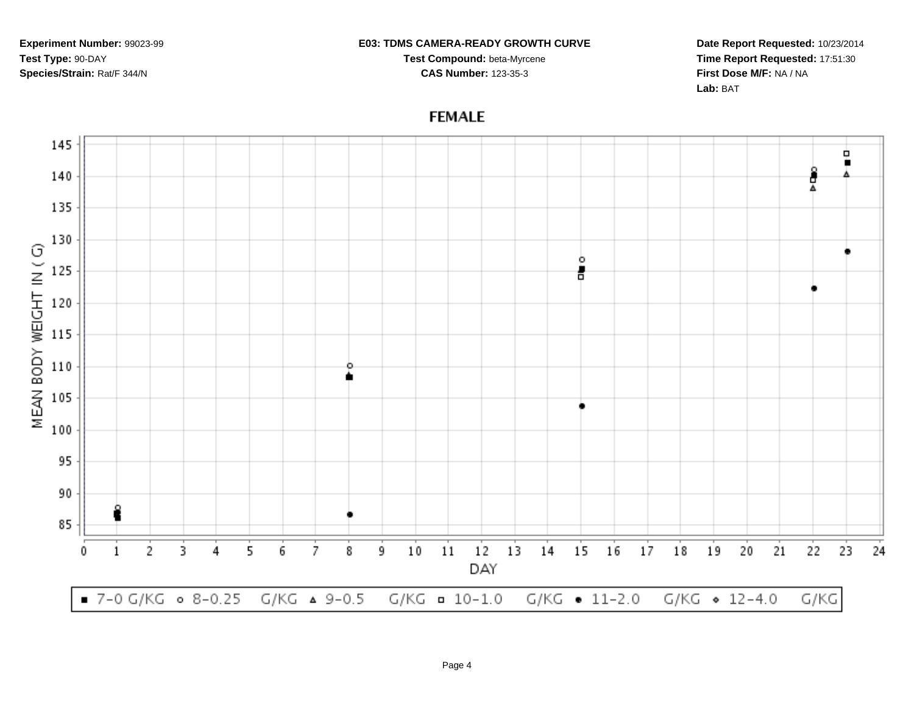#### **E03: TDMS CAMERA-READY GROWTH CURVE**

**Test Compound:** beta-Myrcene**CAS Number:** 123-35-3

**Date Report Requested:** 10/23/2014**Time Report Requested:** 17:51:30**First Dose M/F:** NA / NA**Lab:** BAT

# **FEMALE**